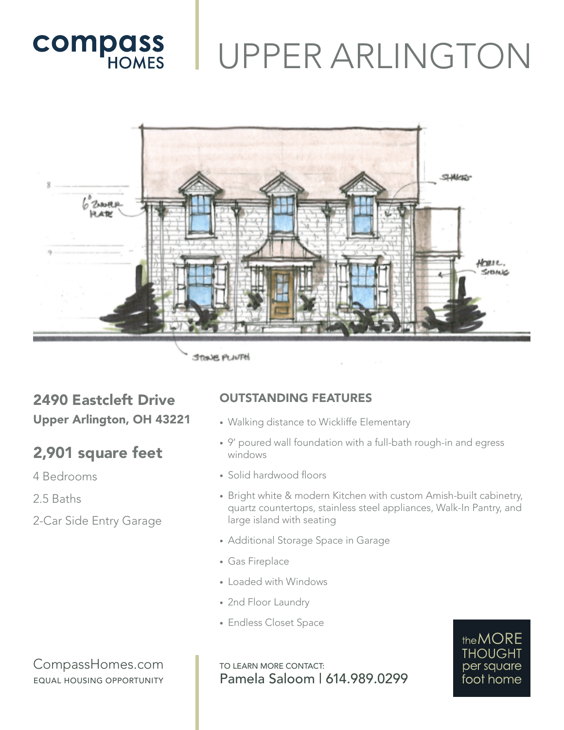## UPPER ARLINGTON



**STONE PUNTH** 

### 2490 Eastcleft Drive Upper Arlington, OH 43221

### 2,901 square feet

**COMPASS** 

4 Bedrooms

2.5 Baths

2-Car Side Entry Garage

#### OUTSTANDING FEATURES

- Walking distance to Wickliffe Elementary
- 9' poured wall foundation with a full-bath rough-in and egress windows
- Solid hardwood floors
- Bright white & modern Kitchen with custom Amish-built cabinetry, quartz countertops, stainless steel appliances, Walk-In Pantry, and large island with seating
- Additional Storage Space in Garage
- Gas Fireplace
- Loaded with Windows
- 2nd Floor Laundry
- Endless Closet Space

CompassHomes.com EQUAL HOUSING OPPORTUNITY

TO LEARN MORE CONTACT: Pamela Saloom | 614.989.0299